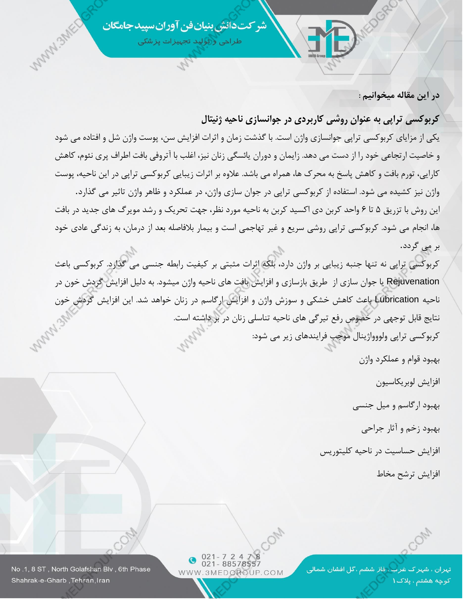شر کت دانش بنیان فن آوران سیید جامگان

طراحی و ٹولید تجہیزات پزشکی

**در این مقاله میخوانیم :**

# **کربوکسی تراپی به عنوان روشی کاربردی در جوانسازی ناحیه ژنیتال**

یکی از مزایای کربوکسی تراپی جوانسازی واژن است. با گذشت زمان و اثرات افزایش سن، پوست واژن شل و افتاده می شود و خاصیت ارتجاعی خود را از دست می دهد. زایمان [و](http://doctorkhalili.com/%db%8c%d8%a7%d8%a6%d8%b3%da%af%db%8c-%d8%af%d8%b1-%d8%b2%d9%86%d8%a7%d9%86/) [دوران یائسگی زنان](http://doctorkhalili.com/%db%8c%d8%a7%d8%a6%d8%b3%da%af%db%8c-%d8%af%d8%b1-%d8%b2%d9%86%d8%a7%d9%86/) نیز، اغلب با آتروفی بافت اطراف پری نئوم، کاهش کارایی، تورم بافت و کاهش پاسخ به محرک ها، همراه می باشد. عالوه بر اثرات زیبایی کربوکسی تراپی در این ناحیه، پوست واژن نیز کشیده می شود. استفاده از کربوکسی تراپی در جوان سازی واژن، در عملکرد و ظاهر واژن تاثیر می گذارد.

این روش با تزریق 5 تا 6 واحد کربن دی اکسید کربن به ناحیه مورد نظر، جهت تحریک و رشد مویرگ های جدید در بافت ها، انجام می شود. کربوکسی تراپی روشی سریع و غیر تهاجمی است و بیمار بالفاصله بعد از درمان، به زندگی عادی خود بر می گردد.

کربوکسی تراپی نه تنها جنبه زیبایی بر واژن دارد، بلکه اثرات مثبتی بر کیفیت رابطه جنسی می گذارد. کربوکسی باعث Rejuvenation یا جوان سازی از طریق بازسازی و افزایش بافت های ناحیه واژن میشود. به دلیل افزایش گردش خون در ناحیه Lubrication باعث کاهش خشکی و سوزش واژن و افزایش ارگاسم در زنان خواهد شد. این افزایش گردش خون نتایج قابل توجهی در خصوص رفع تیرگی های ناحیه تناسلی زنان در بر داشته است. کربوکسی تراپی ولووواژینال موجب فرایندهای زیر می شود:

بهبود قوام و عملکرد واژن

افزایش لوبریکاسیون

بهبود ارگاسم و میل جنسی

بهبود زخم و آثار جراحی

افزایش حساسیت در ناحیه کلیتوریس

افزایش ترشح مخاط

تہران ، شہر ک غرب ، فار ششم ،گل افشان شمالی کوچه هشتم ، پلاک ۱

 $021 - 72478$ 021-88578557 WWW.3MEDGROUP.COM

No.1, 8 ST, North Golafshan Blv, 6th Phase Shahrak-e-Gharb, Tehran, Iran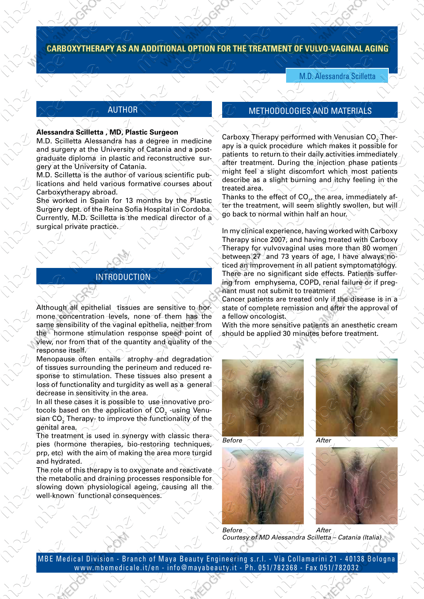## **CARBOXYTHERAPY AS AN ADDITIONAL OPTION FOR THE TREATMENT OF VULVO-VAGINAL AGING**

M.D. Alessandra Scilletta

#### AUTHOR

#### **Alessandra Scilletta , MD, Plastic Surgeon**

 $\sim$   $\sim$   $\sim$   $\sim$   $\sim$   $\sim$ 

 $\mathcal{N}$  and  $\mathcal{N}$ 

M.D. Scilletta Alessandra has a degree in medicine and surgery at the University of Catania and a postgraduate diploma in plastic and reconstructive surgery at the University of Catania.

M.D. Scilletta is the author of various/scientific publications and held various formative courses about Carboxytherapy abroad.

She worked in Spain for 13 months by the Plastic Surgery dept. of the Reina Sofia Hospital in Cordoba. Currently, M.D. Scilletta is the medical director of a surgical private practice.

#### INTRODUCTION

Although all epithelial tissues are sensitive to hormone concentration levels, none of them has the same sensibility of the vaginal epithelia, neither from the hormone stimulation response speed point of view, nor from that of the quantity and quality of the response itself.

Menopause often entails atrophy and degradation of tissues surrounding the perineum and reduced response to stimulation. These tissues also present a loss of functionality and turgidity as well as a general decrease in sensitivity in the area.

In all these cases it is possible to use innovative protocols based on the application of CO $_{\rm 2}$  -using Venusian CO $_2^\prime$  Therapy $_7^\prime$  to improve the functionality of the genital area.

The treatment is used in synergy with classic therapies (hormone therapies, bio-restoring techniques, prp, etc) with the aim of making the area more turgid and hydrated.

The role of this therapy is to oxygenate and reactivate the metabolic and draining processes responsible for slowing down physiological ageing, causing all the well-known functional consequences.

### METHODOLOGIES AND MATERIALS

 $\sf{Carbo}$ xy Therapy performed with Venusian  $\mathsf{CO}_2\mathsf{D}$ herapy is a quick procedure which makes it possible for patients to return to their daily activities immediately after treatment. During the injection phase patientsmight feel a slight discomfort which most patients describe as a slight burning and itchy feeling in the treated area.

Thanks to the effect of CO $_{2^{\prime}}$ the area, immediately after the treatment, will seem slightly swollen, but will go back to normal within half an hour.

In my clinical experience, having worked with Carboxy Therapy since 2007, and having treated with Carboxy Therapy for vulvovaginal uses more than 80 women between 27 and 73 years of age, I have always noticed an improvement in all patient symptomatology. There are no significant side effects. Patients suffering from emphysema, COPD, renal failure or if pregnant must not submit to treatment

Cancer patients are treated only if the disease is in a state of complete remission and after the approval of a fellow oncologist.

With the more sensitive patients an anesthetic cream should be applied 30 minutes before treatment.





*Before*



*After Before Courtesy of MD Alessandra Scilletta – Catania (Italia)*

MBE Medical Division - Branch of Maya Beauty Engineering s.r.l. - Via Collamarini 21 - 40138 Bologna www.mbemedicale.it/en - info@mayabeauty.it - Ph. 051/782368 - Fax 051/782032